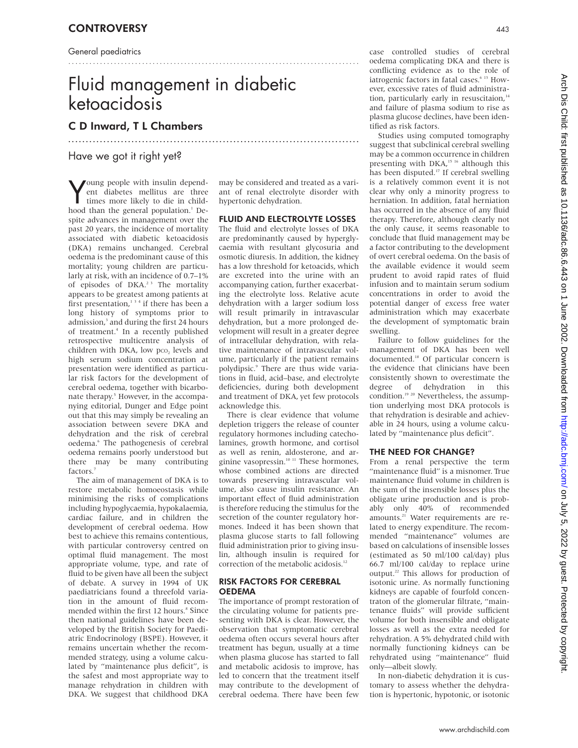General paediatrics

# Fluid management in diabetic ketoacidosis

...................................................................................

...................................................................................

## C D Inward, T L Chambers

# Have we got it right yet?

Voung people with insulin depend-<br>
ent diabetes mellitus are three<br>
times more likely to die in child-<br>
hood than the general population.<sup>1</sup> De-Joung people with insulin dependent diabetes mellitus are three times more likely to die in childspite advances in management over the past 20 years, the incidence of mortality associated with diabetic ketoacidosis (DKA) remains unchanged. Cerebral oedema is the predominant cause of this mortality; young children are particularly at risk, with an incidence of 0.7–1% of episodes of DKA.<sup>23</sup> The mortality appears to be greatest among patients at first presentation, $134$  if there has been a long history of symptoms prior to admission,<sup>3</sup> and during the first 24 hours of treatment.4 In a recently published retrospective multicentre analysis of children with DKA, low pco, levels and high serum sodium concentration at presentation were identified as particular risk factors for the development of cerebral oedema, together with bicarbonate therapy.<sup>5</sup> However, in the accompanying editorial, Dunger and Edge point out that this may simply be revealing an association between severe DKA and dehydration and the risk of cerebral oedema.<sup>6</sup> The pathogenesis of cerebral oedema remains poorly understood but there may be many contributing factors.<sup>7</sup>

The aim of management of DKA is to restore metabolic homoeostasis while minimising the risks of complications including hypoglycaemia, hypokalaemia, cardiac failure, and in children the development of cerebral oedema. How best to achieve this remains contentious, with particular controversy centred on optimal fluid management. The most appropriate volume, type, and rate of fluid to be given have all been the subject of debate. A survey in 1994 of UK paediatricians found a threefold variation in the amount of fluid recommended within the first 12 hours.<sup>8</sup> Since then national guidelines have been developed by the British Society for Paediatric Endocrinology (BSPE). However, it remains uncertain whether the recommended strategy, using a volume calculated by "maintenance plus deficit", is the safest and most appropriate way to manage rehydration in children with DKA. We suggest that childhood DKA

may be considered and treated as a variant of renal electrolyte disorder with hypertonic dehydration.

## FLUID AND ELECTROLYTE LOSSES

The fluid and electrolyte losses of DKA are predominantly caused by hyperglycaemia with resultant glycosuria and osmotic diuresis. In addition, the kidney has a low threshold for ketoacids, which are excreted into the urine with an accompanying cation, further exacerbating the electrolyte loss. Relative acute dehydration with a larger sodium loss will result primarily in intravascular dehydration, but a more prolonged development will result in a greater degree of intracellular dehydration, with relative maintenance of intravascular volume, particularly if the patient remains polydipsic.<sup>9</sup> There are thus wide variations in fluid, acid–base, and electrolyte deficiencies, during both development and treatment of DKA, yet few protocols acknowledge this.

There is clear evidence that volume depletion triggers the release of counter regulatory hormones including catecholamines, growth hormone, and cortisol as well as renin, aldosterone, and arginine vasopressin.10 11 These hormones, whose combined actions are directed towards preserving intravascular volume, also cause insulin resistance. An important effect of fluid administration is therefore reducing the stimulus for the secretion of the counter regulatory hormones. Indeed it has been shown that plasma glucose starts to fall following fluid administration prior to giving insulin, although insulin is required for correction of the metabolic acidosis.<sup>1</sup>

#### RISK FACTORS FOR CEREBRAL OEDEMA

The importance of prompt restoration of the circulating volume for patients presenting with DKA is clear. However, the observation that symptomatic cerebral oedema often occurs several hours after treatment has begun, usually at a time when plasma glucose has started to fall and metabolic acidosis to improve, has led to concern that the treatment itself may contribute to the development of cerebral oedema. There have been few

case controlled studies of cerebral oedema complicating DKA and there is conflicting evidence as to the role of iatrogenic factors in fatal cases.<sup>6 13</sup> However, excessive rates of fluid administration, particularly early in resuscitaion,<sup>14</sup> and failure of plasma sodium to rise as plasma glucose declines, have been identified as risk factors.

Studies using computed tomography suggest that subclinical cerebral swelling may be a common occurrence in children presenting with DKA,<sup>15 16</sup> although this has been disputed.<sup>17</sup> If cerebral swelling is a relatively common event it is not clear why only a minority progress to herniation. In addition, fatal herniation has occurred in the absence of any fluid therapy. Therefore, although clearly not the only cause, it seems reasonable to conclude that fluid management may be a factor contributing to the development of overt cerebral oedema. On the basis of the available evidence it would seem prudent to avoid rapid rates of fluid infusion and to maintain serum sodium concentrations in order to avoid the potential danger of excess free water administration which may exacerbate the development of symptomatic brain swelling.

Failure to follow guidelines for the management of DKA has been well documented.<sup>18</sup> Of particular concern is the evidence that clinicians have been consistently shown to overestimate the degree of dehydration in this condition.<sup>19 20</sup> Nevertheless, the assumption underlying most DKA protocols is that rehydration is desirable and achievable in 24 hours, using a volume calculated by "maintenance plus deficit".

## THE NEED FOR CHANGE?

From a renal perspective the term "maintenance fluid" is a misnomer. True maintenance fluid volume in children is the sum of the insensible losses plus the obligate urine production and is probably only 40% of recommended amounts.<sup>21</sup> Water requirements are related to energy expenditure. The recommended "maintenance" volumes are based on calculations of insensible losses (estimated as 50 ml/100 cal/day) plus 66.7 ml/100 cal/day to replace urine output.22 This allows for production of isotonic urine. As normally functioning kidneys are capable of fourfold concentraton of the glomerular filtrate, "maintenance fluids" will provide sufficient volume for both insensible and obligate losses as well as the extra needed for rehydration. A 5% dehydrated child with normally functioning kidneys can be rehydrated using "maintenance" fluid only—albeit slowly.

In non-diabetic dehydration it is customary to assess whether the dehydration is hypertonic, hypotonic, or isotonic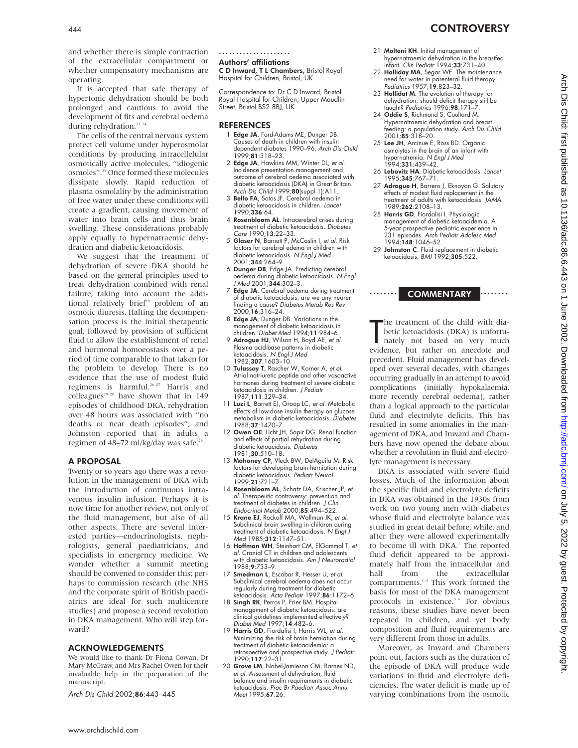and whether there is simple contraction of the extracellular compartment or whether compensatory mechanisms are operating.

It is accepted that safe therapy of hypertonic dehydration should be both prolonged and cautious to avoid the development of fits and cerebral oedema during rehydration.<sup>23</sup> <sup>24</sup>

The cells of the central nervous system protect cell volume under hyperosmolar conditions by producing intracellelular osmotically active molecules, "idiogenic osmoles".25 Once formed these molecules dissipate slowly. Rapid reduction of plasma osmolality by the administration of free water under these conditions will create a gradient, causing movement of water into brain cells and thus brain swelling. These considerations probably apply equally to hypernatraemic dehydration and diabetic ketoacidosis.

We suggest that the treatment of dehydration of severe DKA should be based on the general principles used to treat dehydration combined with renal failure, taking into account the additional relatively brief<sup>19</sup> problem of an osmotic diuresis. Halting the decompensation process is the initial therapeutic goal, followed by provision of sufficient fluid to allow the establishment of renal and hormonal homoeostasis over a period of time comparable to that taken for the problem to develop. There is no evidence that the use of modest fluid regimens is harmful.<sup>26-27</sup> Harris and colleagues<sup>19 28</sup> have shown that in 149 episodes of childhood DKA, rehydration over 48 hours was associated with "no deaths or near death episodes", and Johnston reported that in adults a regimen of 48–72 ml/kg/day was safe.<sup>2</sup>

#### A PROPOSAL

Twenty or so years ago there was a revolution in the management of DKA with the introduction of continuous intravenous insulin infusion. Perhaps it is now time for another review, not only of the fluid management, but also of all other aspects. There are several interested parties—endocrinologists, nephrologists, general paediatricians, and specialists in emergency medicine. We wonder whether a summit meeting should be convened to consider this; perhaps to commission research (the NHS and the corporate spirit of British paediatrics are ideal for such multicentre studies) and propose a second revolution in DKA management. Who will step forward?

#### ACKNOWLEDGEMENTS

We would like to thank Dr Fiona Cowan, Dr Mary McGraw, and Mrs Rachel Owen for their invaluable help in the preparation of the manuscript.

Arch Dis Child 2002;86:443–445

.....................

#### Authors' affiliations

C D Inward, T L Chambers, Bristol Royal Hospital for Children, Bristol, UK

Correspondence to: Dr C D Inward, Bristol Royal Hospital for Children, Upper Maudlin Street, Bristol BS2 8BJ, UK

#### **REFERENCES**

- 1 Edge JA, Ford-Adams ME, Dunger DB. Causes of death in children with insulin dependent diabetes 1990–96. Arch Dis Child 1999;81:318–23.
- 2 Edge JA, Hawkins MM, Winter DL, et al. Incidence presentation management and outcome of cerebral oedema associated with diabetic ketoacidosis (DKA) in Great Britain. Arch Dis Child 1999;80(suppl 1):A11.
- 3 Bello FA, Sotos JF. Cerebral oedema in diabetic ketoacidosis in children. Lancet 1990;336:64.
- 4 Rosenbloom AL. Intracerebral crises during treatment of diabetic ketoacidosis. Diabetes Care 1990;13:22–33.
- 5 Glaser N, Barnett P, McCaslin I, et al. Risk factors for cerebral edema in children with diabetic ketoacidosis. N Engl J Med 2001;344:264–9.
- 6 Dunger DB, Edge JA. Predicting cerebral oedema during diabetic ketoacidosis. N Engl J Med 2001;344:302–3.
- 7 Edge JA. Cerebral oedema during treatment of diabetic ketoacidosis: are we any nearer finding a cause? Diabetes Metab Res Rev 2000;16:316–24.
- 8 Edge JA, Dunger DB. Variations in the management of diabetic ketoacidosis in children. Diabet Med 1994;11:984–6.
- 9 Adrogue HJ, Wilson H, Boyd AE, et al. Plasma acid-base patterns in diabetic ketoacidosis. N Engl J Med 1982;307:1603–10.
- 10 Tulassay T, Rascher W, Korner A, et al. Atrial natriuretic peptide and other vasoactive hormones during treatment of severe diabetic ketoacidosis in children. J Pediatr 1987;111:329–34.
- 11 Luzi L, Barrett EJ, Groop LC, et al. Metabolic effects of low-dose insulin therapy on glucose metabolism in diabetic ketoacidosis. Diabetes 1988;37:1470–7.
- 12 Owen OE, Licht JH, Sapir DG. Renal function and effects of partial rehydration during diabetic ketoacidosis. Diabetes 1981;30:510-18.
- 13 Mahoney CP, Vleck BW, DelAguila M. Risk factors for developing brain herniation during diabetic ketoacidosis. Pediatr Neurol 1999;21:721–7.
- 14 Rosenbloom AL, Schatz DA, Krischer JP, et al. Therapeutic controversy: prevention and treatment of diabetes in children. J Clin Endocrinol Metab 2000;85:494–522.
- 15 Krane EJ, Rockoff MA, Wallman JK, et al. Subclinical brain swelling in children during treatment of diabetic ketoacidosis. N Engl J Med 1985;312:1147–51.
- 16 Hoffman WH, Steinhart CM, ElGammal T, et al. Cranial CT in children and adolescents with diabetic ketoacidosis. Am J Neuroradiol 1988;9:733–9.
- 17 Smedman L, Escobar R, Hesser U, et al. Subclinical cerebral oedema does not occur regularly during treatment for diabetic ketoacidosis. Acta Pediatr 1997;86:1172–6.
- 18 Singh RK, Perros P, Frier BM. Hospital management of diabetic ketoacidosis: are clinical guidelines implemented effectively? Diabet Med 1997;14:482–6.
- 19 Harris GD, Fiordalisi I, Harris WL, et al. Minimizing the risk of brain herniation during treatment of diabetic ketoacidemia: a retrospective and prospective study. J Pediatr 1990;117:22–31.
- 20 Grove LM, Nobel-Jamieson CM, Barnes ND, et al. Assessment of dehydration, fluid balance and insulin requirements in diabetic ketoacidosis. Proc Br Paediatr Assoc Annu Meet 1995;67:26.
- 21 Molteni KH. Initial management of hypernatraemic dehydration in the breastfed infant. Clin Pediatr 1994;33:731-40.
- 22 Holliday MA, Segar WE. The maintenance need for water in parenteral fluid therapy. Pediatrics 1957;19:823–32.
- 23 **Hollidat M**. The evolution of therapy for Hollidat M. The evolution of more p. . ...<br>dehydration: should deficit therapy still be taught? Pediatrics 1996;98:171-
- 24 Oddie S, Richmond S, Coultard M. Hypernatraemic dehydration and breast feeding: a population study. Arch Dis Child 2001;85:318–20.
- 25 Lee JH, Arcinue E, Ross BD. Organic osmolytes in the brain of an infant with hypernatremia. N Engl J Med 1994;331:439–42.
- 26 Lebovitz HA. Diabetic ketoacidosis. Lancet 1995;345:767–71.
- 27 Adrogue H, Barrero J, Eknoyan G. Salutary effects of modest fluid replacement in the treatment of adults with ketoacidosis. JAMA 1989;262:2108–13.
- 28 Harris GD, Fiordalisi I. Physiologic management of diabetic ketoacidemia. A 5-year prospective pediatric experience in 231 episodes. Arch Pediatr Adolesc Med 1994;148:1046–52.
- 29 Johnston C. Fluid replacement in diabetic ketoacidosis. BMJ 1992;305:522.

........ COMMENTARY ........

The treatment of the child with diabetic ketoacidosis (DKA) is unfortunately not based on very much evidence, but rather on anecdote and he treatment of the child with diabetic ketoacidosis (DKA) is unfortunately not based on very much precedent. Fluid management has developed over several decades, with changes occurring gradually in an attempt to avoid complications (initially hypokalaemia, more recently cerebral oedema), rather than a logical approach to the particular fluid and electrolyte deficits. This has resulted in some anomalies in the management of DKA, and Inward and Chambers have now opened the debate about whether a revolution in fluid and electrolyte management is necessary.

DKA is associated with severe fluid losses. Much of the information about the specific fluid and electrolyte deficits in DKA was obtained in the 1930s from work on two young men with diabetes whose fluid and electrolyte balance was studied in great detail before, while, and after they were allowed experimentally to become ill with DKA.<sup>1</sup> The reported fluid deficit appeared to be approximately half from the intracellular and half from the extracellular compartments.<sup>1-3</sup> This work formed the basis for most of the DKA management protocols in existence.<sup>34</sup> For obvious reasons, these studies have never been repeated in children, and yet body composition and fluid requirements are very different from those in adults.

Moreover, as Inward and Chambers point out, factors such as the duration of the episode of DKA will produce wide variations in fluid and electrolyte deficiencies. The water deficit is made up of varying combinations from the osmotic